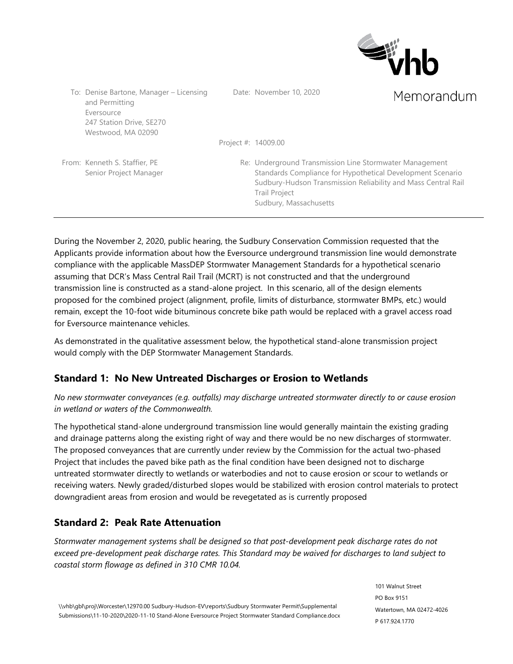

To: Denise Bartone, Manager – Licensing and Permitting Eversource 247 Station Drive, SE270 Westwood, MA 02090

Project #: 14009.00

Date: November 10, 2020

From: Kenneth S. Staffier, PE Senior Project Manager Re: Underground Transmission Line Stormwater Management Standards Compliance for Hypothetical Development Scenario Sudbury-Hudson Transmission Reliability and Mass Central Rail Trail Project Sudbury, Massachusetts

During the November 2, 2020, public hearing, the Sudbury Conservation Commission requested that the Applicants provide information about how the Eversource underground transmission line would demonstrate compliance with the applicable MassDEP Stormwater Management Standards for a hypothetical scenario assuming that DCR's Mass Central Rail Trail (MCRT) is not constructed and that the underground transmission line is constructed as a stand-alone project. In this scenario, all of the design elements proposed for the combined project (alignment, profile, limits of disturbance, stormwater BMPs, etc.) would remain, except the 10-foot wide bituminous concrete bike path would be replaced with a gravel access road for Eversource maintenance vehicles.

As demonstrated in the qualitative assessment below, the hypothetical stand-alone transmission project would comply with the DEP Stormwater Management Standards.

## **Standard 1: No New Untreated Discharges or Erosion to Wetlands**

*No new stormwater conveyances (e.g. outfalls) may discharge untreated stormwater directly to or cause erosion in wetland or waters of the Commonwealth.*

The hypothetical stand-alone underground transmission line would generally maintain the existing grading and drainage patterns along the existing right of way and there would be no new discharges of stormwater. The proposed conveyances that are currently under review by the Commission for the actual two-phased Project that includes the paved bike path as the final condition have been designed not to discharge untreated stormwater directly to wetlands or waterbodies and not to cause erosion or scour to wetlands or receiving waters. Newly graded/disturbed slopes would be stabilized with erosion control materials to protect downgradient areas from erosion and would be revegetated as is currently proposed

## **Standard 2: Peak Rate Attenuation**

*Stormwater management systems shall be designed so that post-development peak discharge rates do not exceed pre-development peak discharge rates. This Standard may be waived for discharges to land subject to coastal storm flowage as defined in 310 CMR 10.04.*

101 Walnut Street PO Box 9151 Watertown, MA 02472-4026 P 617.924.1770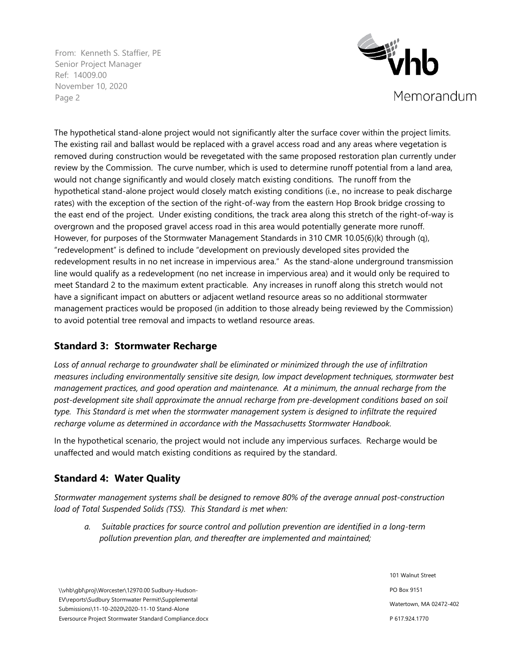

The hypothetical stand-alone project would not significantly alter the surface cover within the project limits. The existing rail and ballast would be replaced with a gravel access road and any areas where vegetation is removed during construction would be revegetated with the same proposed restoration plan currently under review by the Commission. The curve number, which is used to determine runoff potential from a land area, would not change significantly and would closely match existing conditions. The runoff from the hypothetical stand-alone project would closely match existing conditions (i.e., no increase to peak discharge rates) with the exception of the section of the right-of-way from the eastern Hop Brook bridge crossing to the east end of the project. Under existing conditions, the track area along this stretch of the right-of-way is overgrown and the proposed gravel access road in this area would potentially generate more runoff. However, for purposes of the Stormwater Management Standards in 310 CMR 10.05(6)(k) through (q), "redevelopment" is defined to include "development on previously developed sites provided the redevelopment results in no net increase in impervious area." As the stand-alone underground transmission line would qualify as a redevelopment (no net increase in impervious area) and it would only be required to meet Standard 2 to the maximum extent practicable. Any increases in runoff along this stretch would not have a significant impact on abutters or adjacent wetland resource areas so no additional stormwater management practices would be proposed (in addition to those already being reviewed by the Commission) to avoid potential tree removal and impacts to wetland resource areas.

## **Standard 3: Stormwater Recharge**

Loss of annual recharge to groundwater shall be eliminated or minimized through the use of infiltration *measures including environmentally sensitive site design, low impact development techniques, stormwater best management practices, and good operation and maintenance. At a minimum, the annual recharge from the post-development site shall approximate the annual recharge from pre-development conditions based on soil type. This Standard is met when the stormwater management system is designed to infiltrate the required recharge volume as determined in accordance with the Massachusetts Stormwater Handbook.*

In the hypothetical scenario, the project would not include any impervious surfaces. Recharge would be unaffected and would match existing conditions as required by the standard.

## **Standard 4: Water Quality**

*Stormwater management systems shall be designed to remove 80% of the average annual post-construction load of Total Suspended Solids (TSS). This Standard is met when:*

*a. Suitable practices for source control and pollution prevention are identified in a long-term pollution prevention plan, and thereafter are implemented and maintained;* 

> 101 Walnut Street PO Box 9151 Watertown, MA 02472-402 P 617.924.1770

\\vhb\gbl\proj\Worcester\12970.00 Sudbury-Hudson-EV\reports\Sudbury Stormwater Permit\Supplemental Submissions\11-10-2020\2020-11-10 Stand-Alone Eversource Project Stormwater Standard Compliance.docx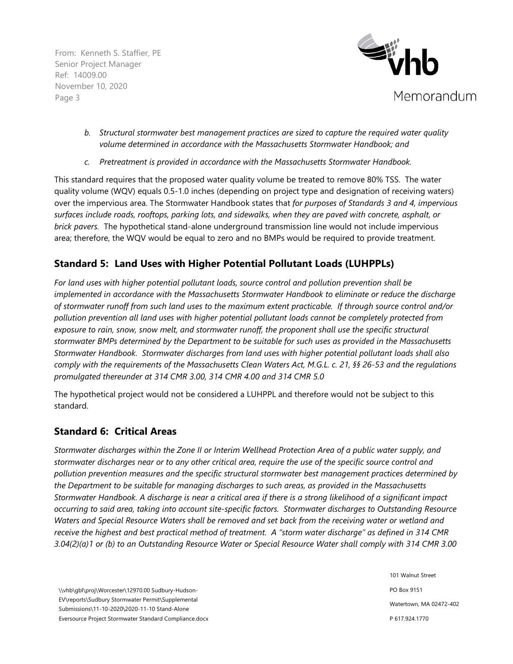

- *b. Structural stormwater best management practices are sized to capture the required water quality volume determined in accordance with the Massachusetts Stormwater Handbook; and*
- *c. Pretreatment is provided in accordance with the Massachusetts Stormwater Handbook.*

This standard requires that the proposed water quality volume be treated to remove 80% TSS. The water quality volume (WQV) equals 0.5-1.0 inches (depending on project type and designation of receiving waters) over the impervious area. The Stormwater Handbook states that *for purposes of Standards 3 and 4, impervious surfaces include roads, rooftops, parking lots, and sidewalks, when they are paved with concrete, asphalt, or brick pavers.* The hypothetical stand-alone underground transmission line would not include impervious area; therefore, the WQV would be equal to zero and no BMPs would be required to provide treatment.

## **Standard 5: Land Uses with Higher Potential Pollutant Loads (LUHPPLs)**

*For land uses with higher potential pollutant loads, source control and pollution prevention shall be implemented in accordance with the Massachusetts Stormwater Handbook to eliminate or reduce the discharge of stormwater runoff from such land uses to the maximum extent practicable. If through source control and/or pollution prevention all land uses with higher potential pollutant loads cannot be completely protected from exposure to rain, snow, snow melt, and stormwater runoff, the proponent shall use the specific structural stormwater BMPs determined by the Department to be suitable for such uses as provided in the Massachusetts Stormwater Handbook. Stormwater discharges from land uses with higher potential pollutant loads shall also comply with the requirements of the Massachusetts Clean Waters Act, M.G.L. c. 21, §§ 26-53 and the regulations promulgated thereunder at 314 CMR 3.00, 314 CMR 4.00 and 314 CMR 5.0*

The hypothetical project would not be considered a LUHPPL and therefore would not be subject to this standard.

## **Standard 6: Critical Areas**

*Stormwater discharges within the Zone II or Interim Wellhead Protection Area of a public water supply, and stormwater discharges near or to any other critical area, require the use of the specific source control and pollution prevention measures and the specific structural stormwater best management practices determined by the Department to be suitable for managing discharges to such areas, as provided in the Massachusetts Stormwater Handbook. A discharge is near a critical area if there is a strong likelihood of a significant impact occurring to said area, taking into account site-specific factors. Stormwater discharges to Outstanding Resource Waters and Special Resource Waters shall be removed and set back from the receiving water or wetland and receive the highest and best practical method of treatment. A "storm water discharge" as defined in 314 CMR 3.04(2)(a)1 or (b) to an Outstanding Resource Water or Special Resource Water shall comply with 314 CMR 3.00* 

> 101 Walnut Street PO Box 9151 Watertown, MA 02472-402 P 617.924.1770

\\vhb\gbl\proj\Worcester\12970.00 Sudbury-Hudson-EV\reports\Sudbury Stormwater Permit\Supplemental Submissions\11-10-2020\2020-11-10 Stand-Alone Eversource Project Stormwater Standard Compliance.docx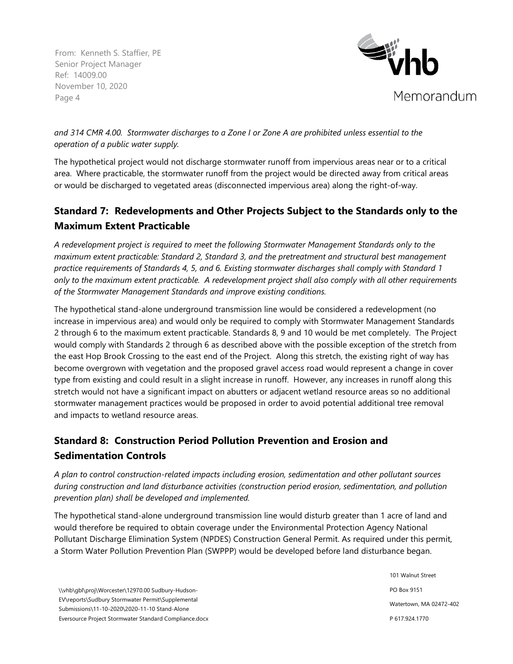

#### *and 314 CMR 4.00. Stormwater discharges to a Zone I or Zone A are prohibited unless essential to the operation of a public water supply.*

The hypothetical project would not discharge stormwater runoff from impervious areas near or to a critical area. Where practicable, the stormwater runoff from the project would be directed away from critical areas or would be discharged to vegetated areas (disconnected impervious area) along the right-of-way.

# **Standard 7: Redevelopments and Other Projects Subject to the Standards only to the Maximum Extent Practicable**

*A redevelopment project is required to meet the following Stormwater Management Standards only to the maximum extent practicable: Standard 2, Standard 3, and the pretreatment and structural best management practice requirements of Standards 4, 5, and 6. Existing stormwater discharges shall comply with Standard 1 only to the maximum extent practicable. A redevelopment project shall also comply with all other requirements of the Stormwater Management Standards and improve existing conditions.*

The hypothetical stand-alone underground transmission line would be considered a redevelopment (no increase in impervious area) and would only be required to comply with Stormwater Management Standards 2 through 6 to the maximum extent practicable. Standards 8, 9 and 10 would be met completely. The Project would comply with Standards 2 through 6 as described above with the possible exception of the stretch from the east Hop Brook Crossing to the east end of the Project. Along this stretch, the existing right of way has become overgrown with vegetation and the proposed gravel access road would represent a change in cover type from existing and could result in a slight increase in runoff. However, any increases in runoff along this stretch would not have a significant impact on abutters or adjacent wetland resource areas so no additional stormwater management practices would be proposed in order to avoid potential additional tree removal and impacts to wetland resource areas.

# **Standard 8: Construction Period Pollution Prevention and Erosion and Sedimentation Controls**

*A plan to control construction-related impacts including erosion, sedimentation and other pollutant sources during construction and land disturbance activities (construction period erosion, sedimentation, and pollution prevention plan) shall be developed and implemented.*

The hypothetical stand-alone underground transmission line would disturb greater than 1 acre of land and would therefore be required to obtain coverage under the Environmental Protection Agency National Pollutant Discharge Elimination System (NPDES) Construction General Permit. As required under this permit, a Storm Water Pollution Prevention Plan (SWPPP) would be developed before land disturbance began.

\\vhb\gbl\proj\Worcester\12970.00 Sudbury-Hudson-EV\reports\Sudbury Stormwater Permit\Supplemental Submissions\11-10-2020\2020-11-10 Stand-Alone Eversource Project Stormwater Standard Compliance.docx

101 Walnut Street PO Box 9151 Watertown, MA 02472-402 P 617.924.1770